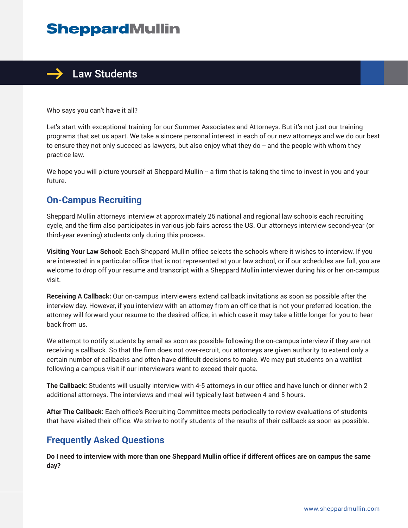# **SheppardMullin**



Who says you can't have it all?

Let's start with exceptional training for our Summer Associates and Attorneys. But it's not just our training programs that set us apart. We take a sincere personal interest in each of our new attorneys and we do our best to ensure they not only succeed as lawyers, but also enjoy what they do -- and the people with whom they practice law.

We hope you will picture yourself at Sheppard Mullin -- a firm that is taking the time to invest in you and your future.

### **On-Campus Recruiting**

Sheppard Mullin attorneys interview at approximately 25 national and regional law schools each recruiting cycle, and the firm also participates in various job fairs across the US. Our attorneys interview second-year (or third-year evening) students only during this process.

**Visiting Your Law School:** Each Sheppard Mullin office selects the schools where it wishes to interview. If you are interested in a particular office that is not represented at your law school, or if our schedules are full, you are welcome to drop off your resume and transcript with a Sheppard Mullin interviewer during his or her on-campus visit.

**Receiving A Callback:** Our on-campus interviewers extend callback invitations as soon as possible after the interview day. However, if you interview with an attorney from an office that is not your preferred location, the attorney will forward your resume to the desired office, in which case it may take a little longer for you to hear back from us.

We attempt to notify students by email as soon as possible following the on-campus interview if they are not receiving a callback. So that the firm does not over-recruit, our attorneys are given authority to extend only a certain number of callbacks and often have difficult decisions to make. We may put students on a waitlist following a campus visit if our interviewers want to exceed their quota.

**The Callback:** Students will usually interview with 4-5 attorneys in our office and have lunch or dinner with 2 additional attorneys. The interviews and meal will typically last between 4 and 5 hours.

**After The Callback:** Each office's Recruiting Committee meets periodically to review evaluations of students that have visited their office. We strive to notify students of the results of their callback as soon as possible.

### **Frequently Asked Questions**

**Do I need to interview with more than one Sheppard Mullin office if different offices are on campus the same day?**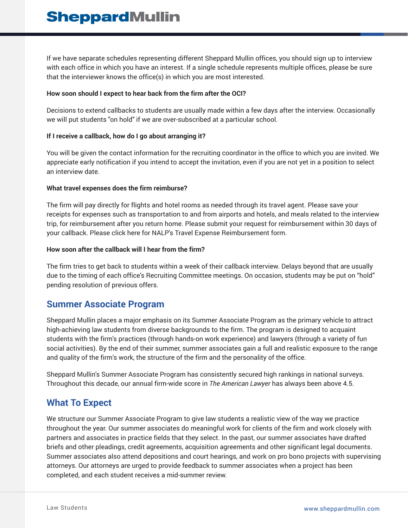If we have separate schedules representing different Sheppard Mullin offices, you should sign up to interview with each office in which you have an interest. If a single schedule represents multiple offices, please be sure that the interviewer knows the office(s) in which you are most interested.

### **How soon should I expect to hear back from the firm after the OCI?**

Decisions to extend callbacks to students are usually made within a few days after the interview. Occasionally we will put students "on hold" if we are over-subscribed at a particular school.

### **If I receive a callback, how do I go about arranging it?**

You will be given the contact information for the recruiting coordinator in the office to which you are invited. We appreciate early notification if you intend to accept the invitation, even if you are not yet in a position to select an interview date.

### **What travel expenses does the firm reimburse?**

The firm will pay directly for flights and hotel rooms as needed through its travel agent. Please save your receipts for expenses such as transportation to and from airports and hotels, and meals related to the interview trip, for reimbursement after you return home. Please submit your request for reimbursement within 30 days of your callback. Please click here for NALP's Travel Expense Reimbursement form.

#### **How soon after the callback will I hear from the firm?**

The firm tries to get back to students within a week of their callback interview. Delays beyond that are usually due to the timing of each office's Recruiting Committee meetings. On occasion, students may be put on "hold" pending resolution of previous offers.

### **Summer Associate Program**

Sheppard Mullin places a major emphasis on its Summer Associate Program as the primary vehicle to attract high-achieving law students from diverse backgrounds to the firm. The program is designed to acquaint students with the firm's practices (through hands-on work experience) and lawyers (through a variety of fun social activities). By the end of their summer, summer associates gain a full and realistic exposure to the range and quality of the firm's work, the structure of the firm and the personality of the office.

Sheppard Mullin's Summer Associate Program has consistently secured high rankings in national surveys. Throughout this decade, our annual firm-wide score in *The American Lawyer* has always been above 4.5.

### **What To Expect**

We structure our Summer Associate Program to give law students a realistic view of the way we practice throughout the year. Our summer associates do meaningful work for clients of the firm and work closely with partners and associates in practice fields that they select. In the past, our summer associates have drafted briefs and other pleadings, credit agreements, acquisition agreements and other significant legal documents. Summer associates also attend depositions and court hearings, and work on pro bono projects with supervising attorneys. Our attorneys are urged to provide feedback to summer associates when a project has been completed, and each student receives a mid-summer review.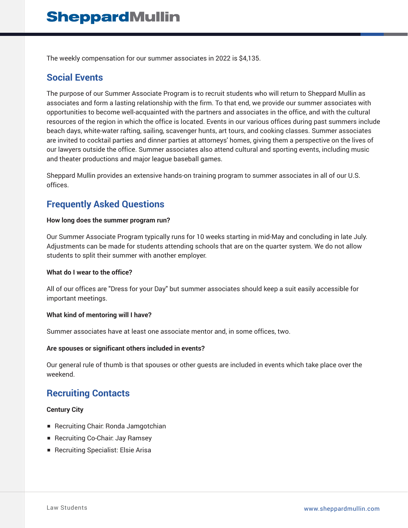The weekly compensation for our summer associates in 2022 is \$4,135.

## **Social Events**

The purpose of our Summer Associate Program is to recruit students who will return to Sheppard Mullin as associates and form a lasting relationship with the firm. To that end, we provide our summer associates with opportunities to become well-acquainted with the partners and associates in the office, and with the cultural resources of the region in which the office is located. Events in our various offices during past summers include beach days, white-water rafting, sailing, scavenger hunts, art tours, and cooking classes. Summer associates are invited to cocktail parties and dinner parties at attorneys' homes, giving them a perspective on the lives of our lawyers outside the office. Summer associates also attend cultural and sporting events, including music and theater productions and major league baseball games.

Sheppard Mullin provides an extensive hands-on training program to summer associates in all of our U.S. offices.

## **Frequently Asked Questions**

### **How long does the summer program run?**

Our Summer Associate Program typically runs for 10 weeks starting in mid-May and concluding in late July. Adjustments can be made for students attending schools that are on the quarter system. We do not allow students to split their summer with another employer.

#### **What do I wear to the office?**

All of our offices are "Dress for your Day" but summer associates should keep a suit easily accessible for important meetings.

### **What kind of mentoring will I have?**

Summer associates have at least one associate mentor and, in some offices, two.

#### **Are spouses or significant others included in events?**

Our general rule of thumb is that spouses or other guests are included in events which take place over the weekend.

### **Recruiting Contacts**

### **Century City**

- Recruiting Chair: Ronda Jamgotchian
- Recruiting Co-Chair: Jay Ramsey
- Recruiting Specialist: Elsie Arisa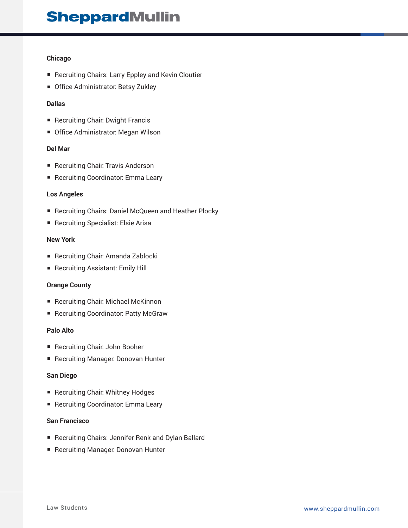# **SheppardMullin**

### **Chicago**

- Recruiting Chairs: Larry Eppley and Kevin Cloutier
- Office Administrator: Betsy Zukley

### **Dallas**

- Recruiting Chair: Dwight Francis
- Office Administrator: Megan Wilson

### **Del Mar**

- Recruiting Chair: Travis Anderson
- Recruiting Coordinator: Emma Leary

### **Los Angeles**

- Recruiting Chairs: Daniel McQueen and Heather Plocky
- Recruiting Specialist: Elsie Arisa

### **New York**

- Recruiting Chair: Amanda Zablocki
- Recruiting Assistant: Emily Hill

### **Orange County**

- Recruiting Chair: Michael McKinnon
- Recruiting Coordinator: Patty McGraw

#### **Palo Alto**

- Recruiting Chair: John Booher
- Recruiting Manager: Donovan Hunter

#### **San Diego**

- Recruiting Chair: Whitney Hodges
- Recruiting Coordinator: Emma Leary

### **San Francisco**

- Recruiting Chairs: Jennifer Renk and Dylan Ballard
- Recruiting Manager: Donovan Hunter